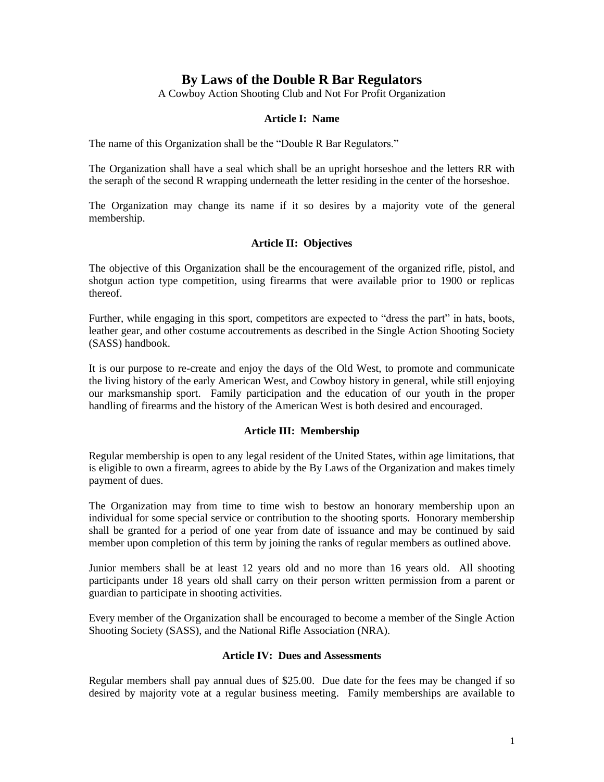# **By Laws of the Double R Bar Regulators**

A Cowboy Action Shooting Club and Not For Profit Organization

### **Article I: Name**

The name of this Organization shall be the "Double R Bar Regulators."

The Organization shall have a seal which shall be an upright horseshoe and the letters RR with the seraph of the second R wrapping underneath the letter residing in the center of the horseshoe.

The Organization may change its name if it so desires by a majority vote of the general membership.

### **Article II: Objectives**

The objective of this Organization shall be the encouragement of the organized rifle, pistol, and shotgun action type competition, using firearms that were available prior to 1900 or replicas thereof.

Further, while engaging in this sport, competitors are expected to "dress the part" in hats, boots, leather gear, and other costume accoutrements as described in the Single Action Shooting Society (SASS) handbook.

It is our purpose to re-create and enjoy the days of the Old West, to promote and communicate the living history of the early American West, and Cowboy history in general, while still enjoying our marksmanship sport. Family participation and the education of our youth in the proper handling of firearms and the history of the American West is both desired and encouraged.

#### **Article III: Membership**

Regular membership is open to any legal resident of the United States, within age limitations, that is eligible to own a firearm, agrees to abide by the By Laws of the Organization and makes timely payment of dues.

The Organization may from time to time wish to bestow an honorary membership upon an individual for some special service or contribution to the shooting sports. Honorary membership shall be granted for a period of one year from date of issuance and may be continued by said member upon completion of this term by joining the ranks of regular members as outlined above.

Junior members shall be at least 12 years old and no more than 16 years old. All shooting participants under 18 years old shall carry on their person written permission from a parent or guardian to participate in shooting activities.

Every member of the Organization shall be encouraged to become a member of the Single Action Shooting Society (SASS), and the National Rifle Association (NRA).

#### **Article IV: Dues and Assessments**

Regular members shall pay annual dues of \$25.00. Due date for the fees may be changed if so desired by majority vote at a regular business meeting. Family memberships are available to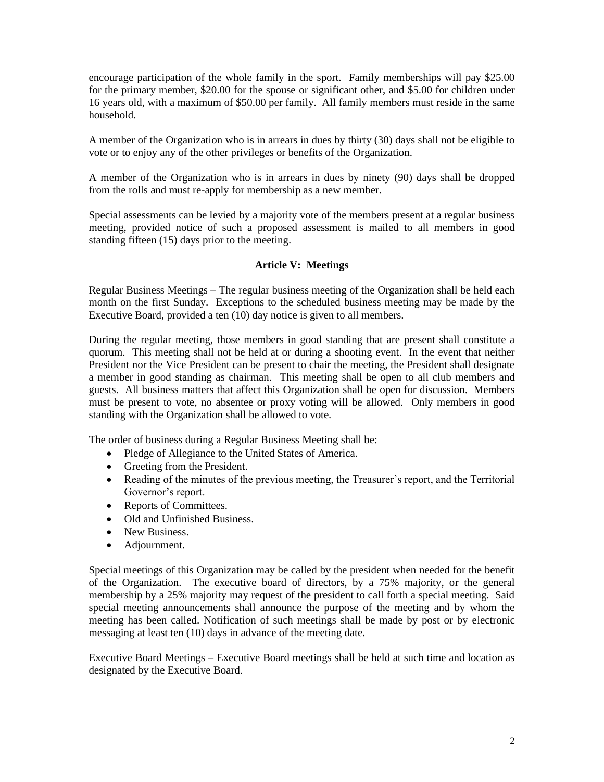encourage participation of the whole family in the sport. Family memberships will pay \$25.00 for the primary member, \$20.00 for the spouse or significant other, and \$5.00 for children under 16 years old, with a maximum of \$50.00 per family. All family members must reside in the same household.

A member of the Organization who is in arrears in dues by thirty (30) days shall not be eligible to vote or to enjoy any of the other privileges or benefits of the Organization.

A member of the Organization who is in arrears in dues by ninety (90) days shall be dropped from the rolls and must re-apply for membership as a new member.

Special assessments can be levied by a majority vote of the members present at a regular business meeting, provided notice of such a proposed assessment is mailed to all members in good standing fifteen (15) days prior to the meeting.

### **Article V: Meetings**

Regular Business Meetings – The regular business meeting of the Organization shall be held each month on the first Sunday. Exceptions to the scheduled business meeting may be made by the Executive Board, provided a ten (10) day notice is given to all members.

During the regular meeting, those members in good standing that are present shall constitute a quorum. This meeting shall not be held at or during a shooting event. In the event that neither President nor the Vice President can be present to chair the meeting, the President shall designate a member in good standing as chairman. This meeting shall be open to all club members and guests. All business matters that affect this Organization shall be open for discussion. Members must be present to vote, no absentee or proxy voting will be allowed. Only members in good standing with the Organization shall be allowed to vote.

The order of business during a Regular Business Meeting shall be:

- Pledge of Allegiance to the United States of America.
- Greeting from the President.
- Reading of the minutes of the previous meeting, the Treasurer's report, and the Territorial Governor's report.
- Reports of Committees.
- Old and Unfinished Business.
- New Business.
- Adjournment.

Special meetings of this Organization may be called by the president when needed for the benefit of the Organization. The executive board of directors, by a 75% majority, or the general membership by a 25% majority may request of the president to call forth a special meeting. Said special meeting announcements shall announce the purpose of the meeting and by whom the meeting has been called. Notification of such meetings shall be made by post or by electronic messaging at least ten (10) days in advance of the meeting date.

Executive Board Meetings – Executive Board meetings shall be held at such time and location as designated by the Executive Board.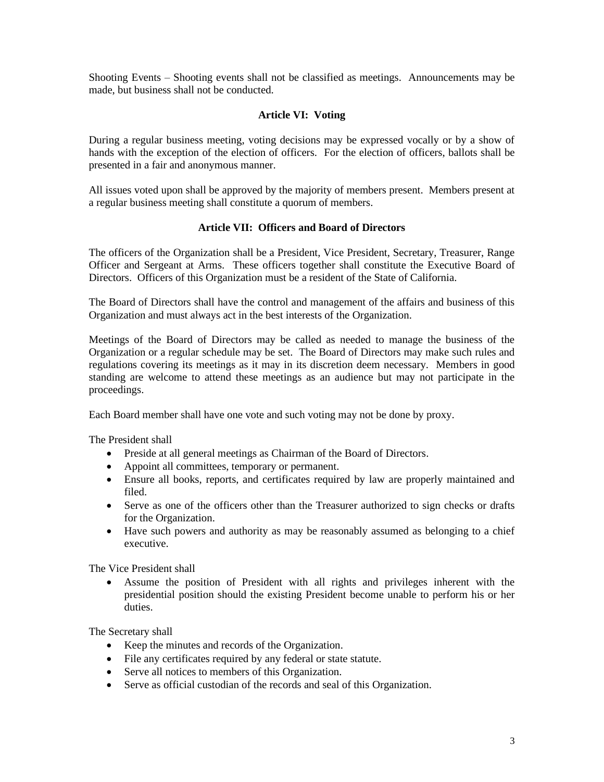Shooting Events – Shooting events shall not be classified as meetings. Announcements may be made, but business shall not be conducted.

# **Article VI: Voting**

During a regular business meeting, voting decisions may be expressed vocally or by a show of hands with the exception of the election of officers. For the election of officers, ballots shall be presented in a fair and anonymous manner.

All issues voted upon shall be approved by the majority of members present. Members present at a regular business meeting shall constitute a quorum of members.

# **Article VII: Officers and Board of Directors**

The officers of the Organization shall be a President, Vice President, Secretary, Treasurer, Range Officer and Sergeant at Arms. These officers together shall constitute the Executive Board of Directors. Officers of this Organization must be a resident of the State of California.

The Board of Directors shall have the control and management of the affairs and business of this Organization and must always act in the best interests of the Organization.

Meetings of the Board of Directors may be called as needed to manage the business of the Organization or a regular schedule may be set. The Board of Directors may make such rules and regulations covering its meetings as it may in its discretion deem necessary. Members in good standing are welcome to attend these meetings as an audience but may not participate in the proceedings.

Each Board member shall have one vote and such voting may not be done by proxy.

The President shall

- Preside at all general meetings as Chairman of the Board of Directors.
- Appoint all committees, temporary or permanent.
- Ensure all books, reports, and certificates required by law are properly maintained and filed.
- Serve as one of the officers other than the Treasurer authorized to sign checks or drafts for the Organization.
- Have such powers and authority as may be reasonably assumed as belonging to a chief executive.

The Vice President shall

• Assume the position of President with all rights and privileges inherent with the presidential position should the existing President become unable to perform his or her duties.

The Secretary shall

- Keep the minutes and records of the Organization.
- File any certificates required by any federal or state statute.
- Serve all notices to members of this Organization.
- Serve as official custodian of the records and seal of this Organization.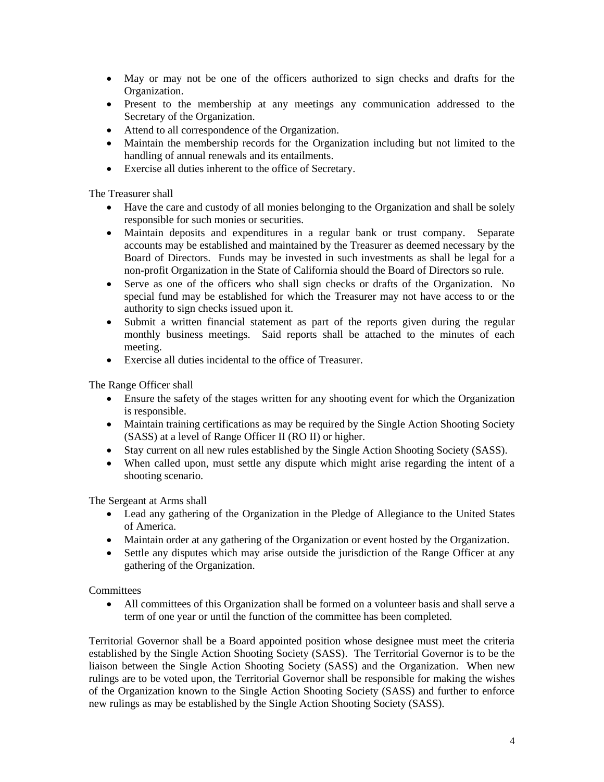- May or may not be one of the officers authorized to sign checks and drafts for the Organization.
- Present to the membership at any meetings any communication addressed to the Secretary of the Organization.
- Attend to all correspondence of the Organization.
- Maintain the membership records for the Organization including but not limited to the handling of annual renewals and its entailments.
- Exercise all duties inherent to the office of Secretary.

The Treasurer shall

- Have the care and custody of all monies belonging to the Organization and shall be solely responsible for such monies or securities.
- Maintain deposits and expenditures in a regular bank or trust company. Separate accounts may be established and maintained by the Treasurer as deemed necessary by the Board of Directors. Funds may be invested in such investments as shall be legal for a non-profit Organization in the State of California should the Board of Directors so rule.
- Serve as one of the officers who shall sign checks or drafts of the Organization. No special fund may be established for which the Treasurer may not have access to or the authority to sign checks issued upon it.
- Submit a written financial statement as part of the reports given during the regular monthly business meetings. Said reports shall be attached to the minutes of each meeting.
- Exercise all duties incidental to the office of Treasurer.

The Range Officer shall

- Ensure the safety of the stages written for any shooting event for which the Organization is responsible.
- Maintain training certifications as may be required by the Single Action Shooting Society (SASS) at a level of Range Officer II (RO II) or higher.
- Stay current on all new rules established by the Single Action Shooting Society (SASS).
- When called upon, must settle any dispute which might arise regarding the intent of a shooting scenario.

The Sergeant at Arms shall

- Lead any gathering of the Organization in the Pledge of Allegiance to the United States of America.
- Maintain order at any gathering of the Organization or event hosted by the Organization.
- Settle any disputes which may arise outside the jurisdiction of the Range Officer at any gathering of the Organization.

**Committees** 

• All committees of this Organization shall be formed on a volunteer basis and shall serve a term of one year or until the function of the committee has been completed.

Territorial Governor shall be a Board appointed position whose designee must meet the criteria established by the Single Action Shooting Society (SASS). The Territorial Governor is to be the liaison between the Single Action Shooting Society (SASS) and the Organization. When new rulings are to be voted upon, the Territorial Governor shall be responsible for making the wishes of the Organization known to the Single Action Shooting Society (SASS) and further to enforce new rulings as may be established by the Single Action Shooting Society (SASS).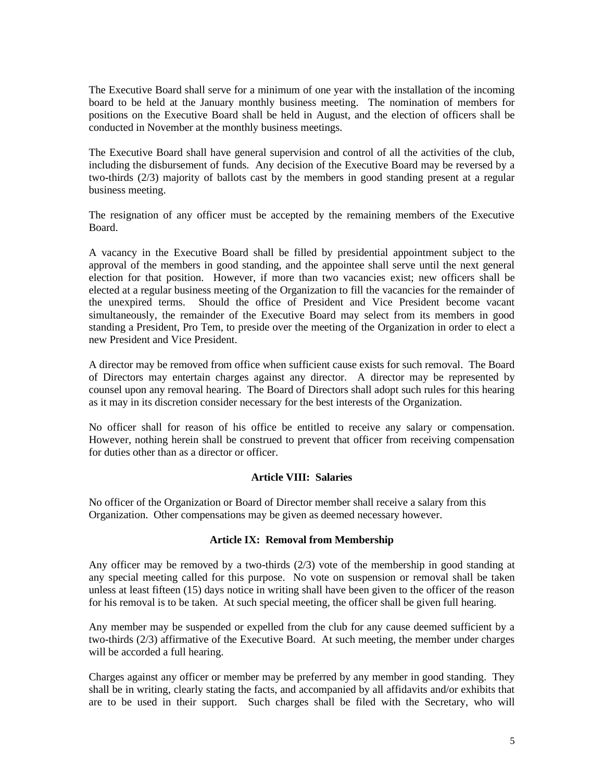The Executive Board shall serve for a minimum of one year with the installation of the incoming board to be held at the January monthly business meeting. The nomination of members for positions on the Executive Board shall be held in August, and the election of officers shall be conducted in November at the monthly business meetings.

The Executive Board shall have general supervision and control of all the activities of the club, including the disbursement of funds. Any decision of the Executive Board may be reversed by a two-thirds (2/3) majority of ballots cast by the members in good standing present at a regular business meeting.

The resignation of any officer must be accepted by the remaining members of the Executive Board.

A vacancy in the Executive Board shall be filled by presidential appointment subject to the approval of the members in good standing, and the appointee shall serve until the next general election for that position. However, if more than two vacancies exist; new officers shall be elected at a regular business meeting of the Organization to fill the vacancies for the remainder of the unexpired terms. Should the office of President and Vice President become vacant simultaneously, the remainder of the Executive Board may select from its members in good standing a President, Pro Tem, to preside over the meeting of the Organization in order to elect a new President and Vice President.

A director may be removed from office when sufficient cause exists for such removal. The Board of Directors may entertain charges against any director. A director may be represented by counsel upon any removal hearing. The Board of Directors shall adopt such rules for this hearing as it may in its discretion consider necessary for the best interests of the Organization.

No officer shall for reason of his office be entitled to receive any salary or compensation. However, nothing herein shall be construed to prevent that officer from receiving compensation for duties other than as a director or officer.

#### **Article VIII: Salaries**

No officer of the Organization or Board of Director member shall receive a salary from this Organization. Other compensations may be given as deemed necessary however.

# **Article IX: Removal from Membership**

Any officer may be removed by a two-thirds (2/3) vote of the membership in good standing at any special meeting called for this purpose. No vote on suspension or removal shall be taken unless at least fifteen (15) days notice in writing shall have been given to the officer of the reason for his removal is to be taken. At such special meeting, the officer shall be given full hearing.

Any member may be suspended or expelled from the club for any cause deemed sufficient by a two-thirds (2/3) affirmative of the Executive Board. At such meeting, the member under charges will be accorded a full hearing.

Charges against any officer or member may be preferred by any member in good standing. They shall be in writing, clearly stating the facts, and accompanied by all affidavits and/or exhibits that are to be used in their support. Such charges shall be filed with the Secretary, who will